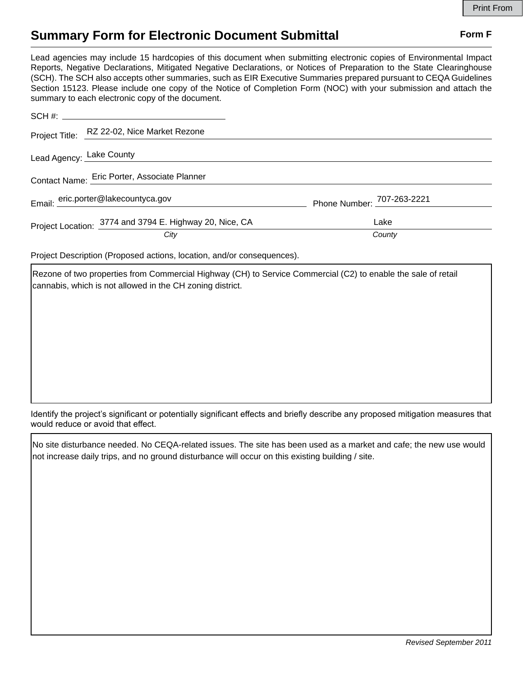## **Summary Form for Electronic Document Submittal Form F Form F**

Lead agencies may include 15 hardcopies of this document when submitting electronic copies of Environmental Impact Reports, Negative Declarations, Mitigated Negative Declarations, or Notices of Preparation to the State Clearinghouse (SCH). The SCH also accepts other summaries, such as EIR Executive Summaries prepared pursuant to CEQA Guidelines Section 15123. Please include one copy of the Notice of Completion Form (NOC) with your submission and attach the summary to each electronic copy of the document.

|                                              | Project Title: RZ 22-02, Nice Market Rezone             |                            |
|----------------------------------------------|---------------------------------------------------------|----------------------------|
| Lead Agency: Lake County                     |                                                         |                            |
| Contact Name: Eric Porter, Associate Planner |                                                         |                            |
|                                              | Email: eric.porter@lakecountyca.gov                     | Phone Number: 707-263-2221 |
|                                              |                                                         |                            |
|                                              | Project Location: 3774 and 3794 E. Highway 20, Nice, CA | Lake                       |
|                                              | City                                                    | County                     |

Project Description (Proposed actions, location, and/or consequences).

Rezone of two properties from Commercial Highway (CH) to Service Commercial (C2) to enable the sale of retail cannabis, which is not allowed in the CH zoning district.

Identify the project's significant or potentially significant effects and briefly describe any proposed mitigation measures that would reduce or avoid that effect.

No site disturbance needed. No CEQA-related issues. The site has been used as a market and cafe; the new use would not increase daily trips, and no ground disturbance will occur on this existing building / site.